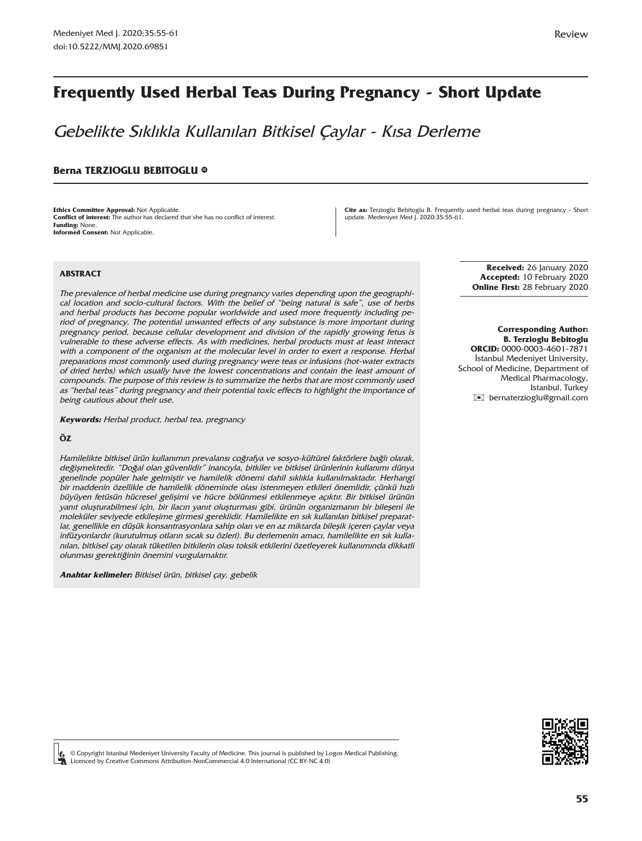# **Frequently Used Herbal Teas During Pregnancy - Short Update**

Gebelikte Sıklıkla Kullanılan Bitkisel Çaylar - Kısa Derleme

#### **Berna TERZIOGLU BEBITOGLU ®**

**Ethics Committee Approval:** Not Applicable. **Conflict of interest:** The author has declared that she has no conflict of interest. **Funding:** None. **Informed Consent:** Not Applicable.

**Cite as:** Terzioglu Bebitoglu B. Frequently used herbal teas during pregnancy - Short update. Medeniyet Med J. 2020;35:55-61.

#### **ABSTRACT**

The prevalence of herbal medicine use during pregnancy varies depending upon the geographical location and socio-cultural factors. With the belief of "being natural is safe", use of herbs and herbal products has become popular worldwide and used more frequently including period of pregnancy. The potential unwanted effects of any substance is more important during pregnancy period, because cellular development and division of the rapidly growing fetus is vulnerable to these adverse effects. As with medicines, herbal products must at least interact with a component of the organism at the molecular level in order to exert a response. Herbal preparations most commonly used during pregnancy were teas or infusions (hot-water extracts of dried herbs) which usually have the lowest concentrations and contain the least amount of compounds. The purpose of this review is to summarize the herbs that are most commonly used as "herbal teas" during pregnancy and their potential toxic effects to highlight the importance of being cautious about their use.

**Keywords:** Herbal product, herbal tea, pregnancy

#### **ÖZ**

Hamilelikte bitkisel ürün kullanımın prevalansı coğrafya ve sosyo-kültürel faktörlere bağlı olarak, değişmektedir. "Doğal olan güvenlidir" inancıyla, bitkiler ve bitkisel ürünlerinin kullanımı dünya genelinde popüler hale gelmiştir ve hamilelik dönemi dahil sıklıkla kullanılmaktadır. Herhangi bir maddenin özellikle de hamilelik döneminde olası istenmeyen etkileri önemlidir, çünkü hızlı büyüyen fetüsün hücresel gelişimi ve hücre bölünmesi etkilenmeye açıktır. Bir bitkisel ürünün yanıt oluşturabilmesi için, bir ilacın yanıt oluşturması gibi, ürünün organizmanın bir bileşeni ile moleküler seviyede etkileşime girmesi gereklidir. Hamilelikte en sık kullanılan bitkisel preparatlar, genellikle en düşük konsantrasyonlara sahip olan ve en az miktarda bileşik içeren çaylar veya infüzyonlardır (kurutulmuş otların sıcak su özleri). Bu derlemenin amacı, hamilelikte en sık kullanılan, bitkisel çay olarak tüketilen bitkilerin olası toksik etkilerini özetleyerek kullanımında dikkatli olunması gerektiğinin önemini vurgulamaktır.

**Anahtar kelimeler:** Bitkisel ürün, bitkisel çay, gebelik

**Received:** 26 January 2020 **Accepted:** 10 February 2020 **Online First:** 28 February 2020

 **Corresponding Author: B. Terzioglu Bebitoglu ORCID:** 0000-0003-4601-7871 İstanbul Medeniyet University, School of Medicine, Department of Medical Pharmacology, Istanbul, Turkey [✉](mailto:bernaterzioglu@gmail.com) bernaterzioglu@gmail.com



© Copyright Istanbul Medeniyet University Faculty of Medicine. This journal is published by Logos Medical Publishing. Licenced by Creative Commons Attribution-NonCommercial 4.0 International (CC BY-NC 4.0)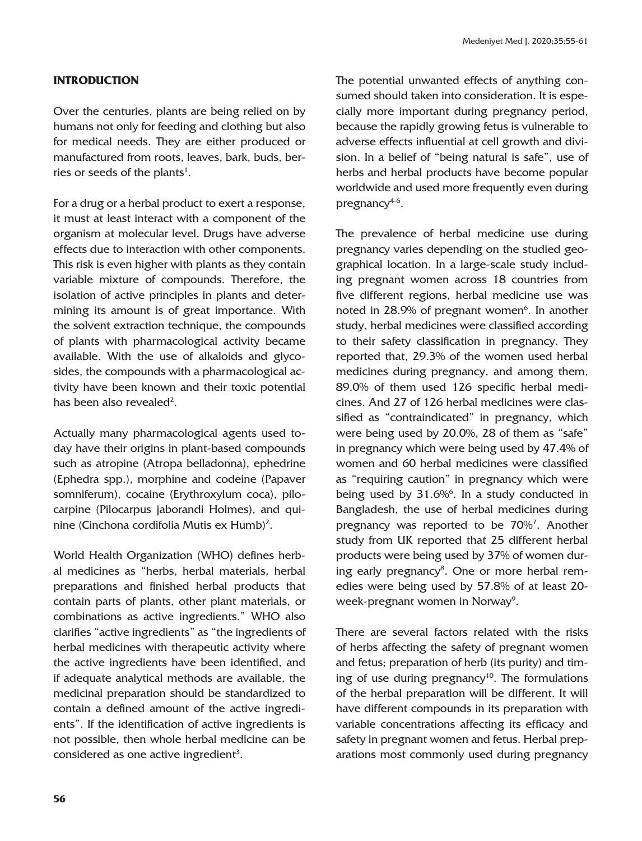## **INTRODUCTION**

Over the centuries, plants are being relied on by humans not only for feeding and clothing but also for medical needs. They are either produced or manufactured from roots, leaves, bark, buds, berries or seeds of the plants<sup>1</sup>.

For a drug or a herbal product to exert a response, it must at least interact with a component of the organism at molecular level. Drugs have adverse effects due to interaction with other components. This risk is even higher with plants as they contain variable mixture of compounds. Therefore, the isolation of active principles in plants and determining its amount is of great importance. With the solvent extraction technique, the compounds of plants with pharmacological activity became available. With the use of alkaloids and glycosides, the compounds with a pharmacological activity have been known and their toxic potential has been also revealed<sup>2</sup>.

Actually many pharmacological agents used today have their origins in plant-based compounds such as atropine (Atropa belladonna), ephedrine (Ephedra spp.), morphine and codeine (Papaver somniferum), cocaine (Erythroxylum coca), pilocarpine (Pilocarpus jaborandi Holmes), and quinine (Cinchona cordifolia Mutis ex Humb)<sup>2</sup>.

World Health Organization (WHO) defines herbal medicines as "herbs, herbal materials, herbal preparations and finished herbal products that contain parts of plants, other plant materials, or combinations as active ingredients." WHO also clarifies "active ingredients" as "the ingredients of herbal medicines with therapeutic activity where the active ingredients have been identified, and if adequate analytical methods are available, the medicinal preparation should be standardized to contain a defined amount of the active ingredients". If the identification of active ingredients is not possible, then whole herbal medicine can be considered as one active ingredient<sup>3</sup>.

The potential unwanted effects of anything consumed should taken into consideration. It is especially more important during pregnancy period, because the rapidly growing fetus is vulnerable to adverse effects influential at cell growth and division. In a belief of "being natural is safe", use of herbs and herbal products have become popular worldwide and used more frequently even during pregnancy<sup>4-6</sup>.

The prevalence of herbal medicine use during pregnancy varies depending on the studied geographical location. In a large-scale study including pregnant women across 18 countries from five different regions, herbal medicine use was noted in 28.9% of pregnant women<sup>6</sup>. In another study, herbal medicines were classified according to their safety classification in pregnancy. They reported that, 29.3% of the women used herbal medicines during pregnancy, and among them, 89.0% of them used 126 specific herbal medicines. And 27 of 126 herbal medicines were classified as "contraindicated" in pregnancy, which were being used by 20.0%, 28 of them as "safe" in pregnancy which were being used by 47.4% of women and 60 herbal medicines were classified as "requiring caution" in pregnancy which were being used by 31.6%<sup>6</sup>. In a study conducted in Bangladesh, the use of herbal medicines during pregnancy was reported to be 70%<sup>7</sup>. Another study from UK reported that 25 different herbal products were being used by 37% of women during early pregnancy<sup>8</sup>. One or more herbal remedies were being used by 57.8% of at least 20 week-pregnant women in Norway<sup>9</sup>.

There are several factors related with the risks of herbs affecting the safety of pregnant women and fetus; preparation of herb (its purity) and timing of use during pregnancy<sup>10</sup>. The formulations of the herbal preparation will be different. It will have different compounds in its preparation with variable concentrations affecting its efficacy and safety in pregnant women and fetus. Herbal preparations most commonly used during pregnancy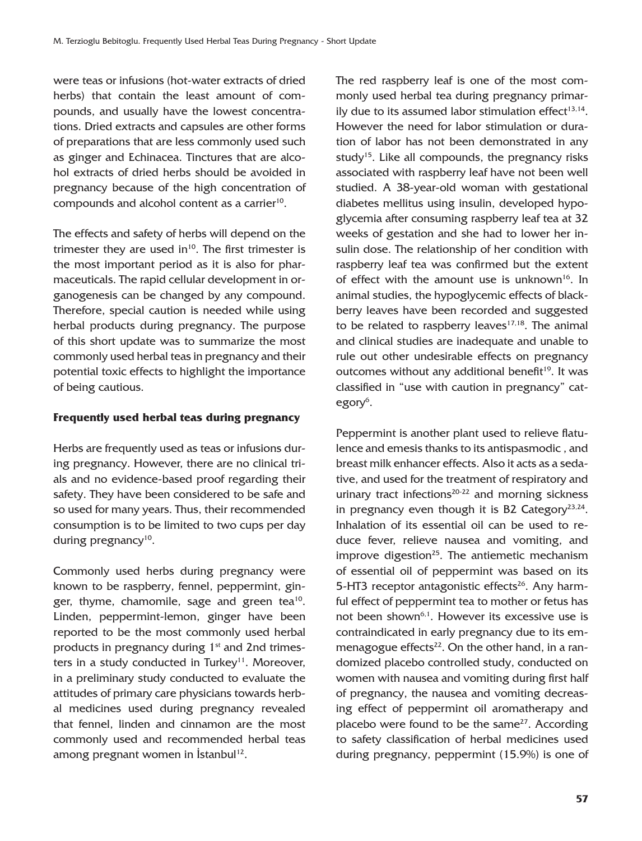were teas or infusions (hot-water extracts of dried herbs) that contain the least amount of compounds, and usually have the lowest concentrations. Dried extracts and capsules are other forms of preparations that are less commonly used such as ginger and Echinacea. Tinctures that are alcohol extracts of dried herbs should be avoided in pregnancy because of the high concentration of compounds and alcohol content as a carrier<sup>10</sup>.

The effects and safety of herbs will depend on the trimester they are used in $10$ . The first trimester is the most important period as it is also for pharmaceuticals. The rapid cellular development in organogenesis can be changed by any compound. Therefore, special caution is needed while using herbal products during pregnancy. The purpose of this short update was to summarize the most commonly used herbal teas in pregnancy and their potential toxic effects to highlight the importance of being cautious.

### **Frequently used herbal teas during pregnancy**

Herbs are frequently used as teas or infusions during pregnancy. However, there are no clinical trials and no evidence-based proof regarding their safety. They have been considered to be safe and so used for many years. Thus, their recommended consumption is to be limited to two cups per day during pregnancy<sup>10</sup>.

Commonly used herbs during pregnancy were known to be raspberry, fennel, peppermint, ginger, thyme, chamomile, sage and green tea<sup>10</sup>. Linden, peppermint-lemon, ginger have been reported to be the most commonly used herbal products in pregnancy during  $1<sup>st</sup>$  and 2nd trimesters in a study conducted in Turkey<sup>11</sup>. Moreover, in a preliminary study conducted to evaluate the attitudes of primary care physicians towards herbal medicines used during pregnancy revealed that fennel, linden and cinnamon are the most commonly used and recommended herbal teas among pregnant women in  $İstanbul<sup>12</sup>$ .

The red raspberry leaf is one of the most commonly used herbal tea during pregnancy primarily due to its assumed labor stimulation effect $13,14$ . However the need for labor stimulation or duration of labor has not been demonstrated in any study<sup>15</sup>. Like all compounds, the pregnancy risks associated with raspberry leaf have not been well studied. A 38-year-old woman with gestational diabetes mellitus using insulin, developed hypoglycemia after consuming raspberry leaf tea at 32 weeks of gestation and she had to lower her insulin dose. The relationship of her condition with raspberry leaf tea was confirmed but the extent of effect with the amount use is unknown<sup>16</sup>. In animal studies, the hypoglycemic effects of blackberry leaves have been recorded and suggested to be related to raspberry leaves $17,18$ . The animal and clinical studies are inadequate and unable to rule out other undesirable effects on pregnancy outcomes without any additional benefit<sup>19</sup>. It was classified in "use with caution in pregnancy" category<sup>6</sup>.

Peppermint is another plant used to relieve flatulence and emesis thanks to its antispasmodic , and breast milk enhancer effects. Also it acts as a sedative, and used for the treatment of respiratory and urinary tract infections<sup>20-22</sup> and morning sickness in pregnancy even though it is B2 Category<sup>23,24</sup>. Inhalation of its essential oil can be used to reduce fever, relieve nausea and vomiting, and improve digestion<sup>25</sup>. The antiemetic mechanism of essential oil of peppermint was based on its 5-HT3 receptor antagonistic effects<sup>26</sup>. Any harmful effect of peppermint tea to mother or fetus has not been shown<sup>6,1</sup>. However its excessive use is contraindicated in early pregnancy due to its emmenagogue effects $^{22}$ . On the other hand, in a randomized placebo controlled study, conducted on women with nausea and vomiting during first half of pregnancy, the nausea and vomiting decreasing effect of peppermint oil aromatherapy and placebo were found to be the same<sup>27</sup>. According to safety classification of herbal medicines used during pregnancy, peppermint (15.9%) is one of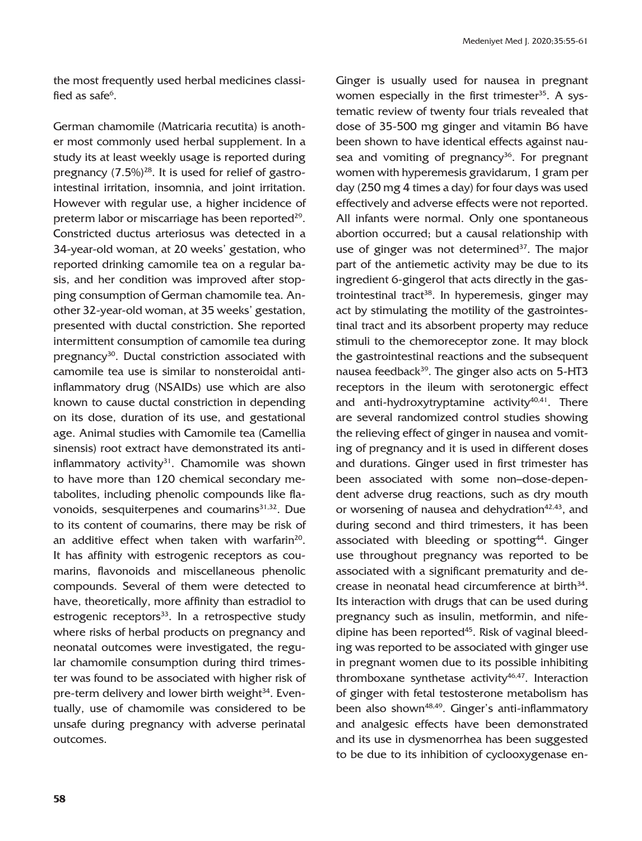the most frequently used herbal medicines classified as safe $^6$ .

German chamomile (Matricaria recutita) is another most commonly used herbal supplement. In a study its at least weekly usage is reported during pregnancy  $(7.5\%)^{28}$ . It is used for relief of gastrointestinal irritation, insomnia, and joint irritation. However with regular use, a higher incidence of preterm labor or miscarriage has been reported $29$ . Constricted ductus arteriosus was detected in a 34-year-old woman, at 20 weeks' gestation, who reported drinking camomile tea on a regular basis, and her condition was improved after stopping consumption of German chamomile tea. Another 32-year-old woman, at 35 weeks' gestation, presented with ductal constriction. She reported intermittent consumption of camomile tea during pregnancy<sup>30</sup>. Ductal constriction associated with camomile tea use is similar to nonsteroidal antiinflammatory drug (NSAIDs) use which are also known to cause ductal constriction in depending on its dose, duration of its use, and gestational age. Animal studies with Camomile tea (Camellia sinensis) root extract have demonstrated its antiinflammatory activity $31$ . Chamomile was shown to have more than 120 chemical secondary metabolites, including phenolic compounds like flavonoids, sesquiterpenes and coumarins<sup>31,32</sup>. Due to its content of coumarins, there may be risk of an additive effect when taken with warfarin $20$ . It has affinity with estrogenic receptors as coumarins, flavonoids and miscellaneous phenolic compounds. Several of them were detected to have, theoretically, more affinity than estradiol to estrogenic receptors<sup>33</sup>. In a retrospective study where risks of herbal products on pregnancy and neonatal outcomes were investigated, the regular chamomile consumption during third trimester was found to be associated with higher risk of pre-term delivery and lower birth weight<sup>34</sup>. Eventually, use of chamomile was considered to be unsafe during pregnancy with adverse perinatal outcomes.

Ginger is usually used for nausea in pregnant women especially in the first trimester<sup>35</sup>. A systematic review of twenty four trials revealed that dose of 35-500 mg ginger and vitamin B6 have been shown to have identical effects against nausea and vomiting of pregnancy<sup>36</sup>. For pregnant women with hyperemesis gravidarum, 1 gram per day (250 mg 4 times a day) for four days was used effectively and adverse effects were not reported. All infants were normal. Only one spontaneous abortion occurred; but a causal relationship with use of ginger was not determined $37$ . The major part of the antiemetic activity may be due to its ingredient 6-gingerol that acts directly in the gastrointestinal tract<sup>38</sup>. In hyperemesis, ginger may act by stimulating the motility of the gastrointestinal tract and its absorbent property may reduce stimuli to the chemoreceptor zone. It may block the gastrointestinal reactions and the subsequent nausea feedback<sup>39</sup>. The ginger also acts on 5-HT3 receptors in the ileum with serotonergic effect and anti-hydroxytryptamine activity $40,41$ . There are several randomized control studies showing the relieving effect of ginger in nausea and vomiting of pregnancy and it is used in different doses and durations. Ginger used in first trimester has been associated with some non–dose-dependent adverse drug reactions, such as dry mouth or worsening of nausea and dehydration $42,43$ , and during second and third trimesters, it has been associated with bleeding or spotting<sup>44</sup>. Ginger use throughout pregnancy was reported to be associated with a significant prematurity and decrease in neonatal head circumference at birth<sup>34</sup>. Its interaction with drugs that can be used during pregnancy such as insulin, metformin, and nifedipine has been reported<sup>45</sup>. Risk of vaginal bleeding was reported to be associated with ginger use in pregnant women due to its possible inhibiting thromboxane synthetase activity $46,47$ . Interaction of ginger with fetal testosterone metabolism has been also shown<sup>48,49</sup>. Ginger's anti-inflammatory and analgesic effects have been demonstrated and its use in dysmenorrhea has been suggested to be due to its inhibition of cyclooxygenase en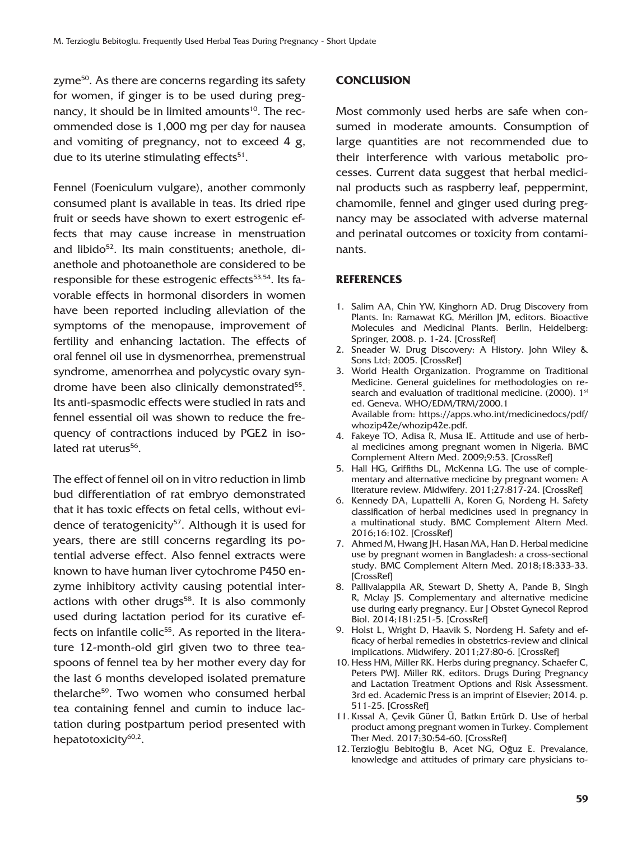zyme<sup>50</sup>. As there are concerns regarding its safety for women, if ginger is to be used during pregnancy, it should be in limited amounts<sup>10</sup>. The recommended dose is 1,000 mg per day for nausea and vomiting of pregnancy, not to exceed 4 g, due to its uterine stimulating effects<sup>51</sup>.

Fennel (Foeniculum vulgare), another commonly consumed plant is available in teas. Its dried ripe fruit or seeds have shown to exert estrogenic effects that may cause increase in menstruation and libido<sup>52</sup>. Its main constituents: anethole, dianethole and photoanethole are considered to be responsible for these estrogenic effects<sup>53,54</sup>. Its favorable effects in hormonal disorders in women have been reported including alleviation of the symptoms of the menopause, improvement of fertility and enhancing lactation. The effects of oral fennel oil use in dysmenorrhea, premenstrual syndrome, amenorrhea and polycystic ovary syndrome have been also clinically demonstrated<sup>55</sup>. Its anti-spasmodic effects were studied in rats and fennel essential oil was shown to reduce the frequency of contractions induced by PGE2 in isolated rat uterus<sup>56</sup>.

The effect of fennel oil on in vitro reduction in limb bud differentiation of rat embryo demonstrated that it has toxic effects on fetal cells, without evidence of teratogenicity<sup>57</sup>. Although it is used for years, there are still concerns regarding its potential adverse effect. Also fennel extracts were known to have human liver cytochrome P450 enzyme inhibitory activity causing potential interactions with other drugs<sup>58</sup>. It is also commonly used during lactation period for its curative effects on infantile colic<sup>55</sup>. As reported in the literature 12-month-old girl given two to three teaspoons of fennel tea by her mother every day for the last 6 months developed isolated premature thelarche59. Two women who consumed herbal tea containing fennel and cumin to induce lactation during postpartum period presented with hepatotoxicity $60,2$ .

### **CONCLUSION**

Most commonly used herbs are safe when consumed in moderate amounts. Consumption of large quantities are not recommended due to their interference with various metabolic processes. Current data suggest that herbal medicinal products such as raspberry leaf, peppermint, chamomile, fennel and ginger used during pregnancy may be associated with adverse maternal and perinatal outcomes or toxicity from contaminants.

#### **REFERENCES**

- 1. Salim AA, Chin YW, Kinghorn AD. Drug Discovery from Plants. In: Ramawat KG, Mérillon JM, editors. Bioactive Molecules and Medicinal Plants. Berlin, Heidelberg: Springer, 2008. p. 1-24. [\[CrossRef\]](https://doi.org/10.1007/978-3-540-74603-4_1)
- 2. Sneader W. Drug Discovery: A History. John Wiley & Sons Ltd; 2005. [\[CrossRef\]](https://doi.org/10.1002/0470015535)
- 3. World Health Organization. Programme on Traditional Medicine. General guidelines for methodologies on research and evaluation of traditional medicine. (2000). 1<sup>st</sup> ed. Geneva. WHO/EDM/TRM/2000.1 Available from: https://apps.who.int/medicinedocs/pdf/ whozip42e/whozip42e.pdf.
- 4. Fakeye TO, Adisa R, Musa IE. Attitude and use of herbal medicines among pregnant women in Nigeria. BMC Complement Altern Med. 2009;9:53. [\[CrossRef\]](https://doi.org/10.1186/1472-6882-9-53)
- 5. Hall HG, Griffiths DL, McKenna LG. The use of complementary and alternative medicine by pregnant women: A literature review. Midwifery. 2011;27:817-24. [\[CrossRef\]](https://doi.org/10.1016/j.midw.2010.08.007)
- 6. Kennedy DA, Lupattelli A, Koren G, Nordeng H. Safety classification of herbal medicines used in pregnancy in a multinational study. BMC Complement Altern Med. 2016;16:102. [\[CrossRef\]](https://doi.org/10.1186/s12906-016-1079-z)
- 7. Ahmed M, Hwang JH, Hasan MA, Han D. Herbal medicine use by pregnant women in Bangladesh: a cross-sectional study. BMC Complement Altern Med. 2018;18:333-33. [\[CrossRef\]](https://doi.org/10.1186/s12906-018-2399-y)
- 8. Pallivalappila AR, Stewart D, Shetty A, Pande B, Singh R, Mclay JS. Complementary and alternative medicine use during early pregnancy. Eur J Obstet Gynecol Reprod Biol. 2014;181:251-5. [\[CrossRef\]](https://doi.org/10.1016/j.ejogrb.2014.08.017)
- 9. Holst L, Wright D, Haavik S, Nordeng H. Safety and efficacy of herbal remedies in obstetrics-review and clinical implications. Midwifery. 2011;27:80-6. [\[CrossRef\]](https://doi.org/10.1016/j.midw.2009.05.010)
- 10. Hess HM, Miller RK. Herbs during pregnancy. Schaefer C, Peters PWJ. Miller RK, editors. Drugs During Pregnancy and Lactation Treatment Options and Risk Assessment. 3rd ed. Academic Press is an imprint of Elsevier; 2014. p. 511-25. [\[CrossRef\]](https://doi.org/10.1016/B978-0-12-408078-2.00020-2)
- 11. Kıssal A, Çevik Güner Ü, Batkın Ertürk D. Use of herbal product among pregnant women in Turkey. Complement Ther Med. 2017;30:54-60. [\[CrossRef\]](https://doi.org/10.1016/j.ctim.2016.11.001)
- 12. Terzioğlu Bebitoğlu B, Acet NG, Oğuz E. Prevalance, knowledge and attitudes of primary care physicians to-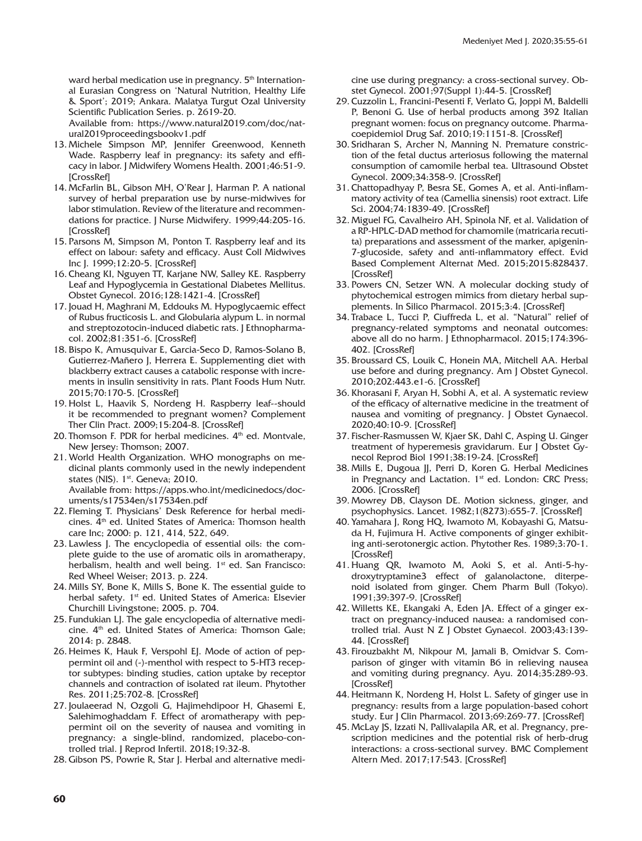ward herbal medication use in pregnancy. 5<sup>th</sup> International Eurasian Congress on 'Natural Nutrition, Healthy Life & Sport'; 2019; Ankara. Malatya Turgut Ozal University Scientific Publication Series. p. 2619-20.

Available from: https://www.natural2019.com/doc/natural2019proceedingsbookv1.pdf

- 13. Michele Simpson MP, Jennifer Greenwood, Kenneth Wade. Raspberry leaf in pregnancy: its safety and efficacy in labor. J Midwifery Womens Health. 2001;46:51-9. **[\[CrossRef\]](https://doi.org/10.1016/S1526-9523(01)00095-2)**
- 14. McFarlin BL, Gibson MH, O'Rear J, Harman P. A national survey of herbal preparation use by nurse-midwives for labor stimulation. Review of the literature and recommendations for practice. J Nurse Midwifery. 1999;44:205-16. **[\[CrossRef\]](https://doi.org/10.1016/S0091-2182(99)00037-3)**
- 15. Parsons M, Simpson M, Ponton T. Raspberry leaf and its effect on labour: safety and efficacy. Aust Coll Midwives Inc J. 1999;12:20-5. [\[CrossRef\]](https://doi.org/10.1016/S1031-170X(99)80008-7)
- 16. Cheang KI, Nguyen TT, Karjane NW, Salley KE. Raspberry Leaf and Hypoglycemia in Gestational Diabetes Mellitus. Obstet Gynecol. 2016;128:1421-4. [\[CrossRef\]](https://doi.org/10.1097/AOG.0000000000001757)
- 17. Jouad H, Maghrani M, Eddouks M. Hypoglycaemic effect of Rubus fructicosis L. and Globularia alypum L. in normal and streptozotocin-induced diabetic rats. J Ethnopharmacol. 2002;81:351-6. [\[CrossRef\]](https://doi.org/10.1016/S0378-8741(02)00118-6)
- 18. Bispo K, Amusquivar E, Garcia-Seco D, Ramos-Solano B, Gutierrez-Mañero J, Herrera E. Supplementing diet with blackberry extract causes a catabolic response with increments in insulin sensitivity in rats. Plant Foods Hum Nutr. 2015;70:170-5. [\[CrossRef\]](https://doi.org/10.1007/s11130-015-0474-9)
- 19. Holst L, Haavik S, Nordeng H. Raspberry leaf--should it be recommended to pregnant women? Complement Ther Clin Pract. 2009;15:204-8. [\[CrossRef\]](https://doi.org/10.1016/j.ctcp.2009.05.003)
- 20. Thomson F. PDR for herbal medicines.  $4<sup>th</sup>$  ed. Montvale, New Jersey: Thomson; 2007.
- 21. World Health Organization. WHO monographs on medicinal plants commonly used in the newly independent states (NIS). 1<sup>st</sup>. Geneva; 2010. Available from: https://apps.who.int/medicinedocs/doc-
- uments/s17534en/s17534en.pdf 22. Fleming T. Physicians' Desk Reference for herbal medicines. 4<sup>th</sup> ed. United States of America: Thomson health care Inc; 2000: p. 121, 414, 522, 649.
- 23. Lawless J. The encyclopedia of essential oils: the complete guide to the use of aromatic oils in aromatherapy, herbalism, health and well being.  $1<sup>st</sup>$  ed. San Francisco: Red Wheel Weiser; 2013. p. 224.
- 24. Mills SY, Bone K, Mills S, Bone K. The essential guide to herbal safety. 1<sup>st</sup> ed. United States of America: Elsevier Churchill Livingstone; 2005. p. 704.
- 25. Fundukian LJ. The gale encyclopedia of alternative medicine. 4<sup>th</sup> ed. United States of America: Thomson Gale; 2014: p. 2848.
- 26. Heimes K, Hauk F, Verspohl EJ. Mode of action of peppermint oil and (-)-menthol with respect to 5-HT3 receptor subtypes: binding studies, cation uptake by receptor channels and contraction of isolated rat ileum. Phytother Res. 2011;25:702-8. [\[CrossRef\]](https://doi.org/10.1002/ptr.3316)
- 27. Joulaeerad N, Ozgoli G, Hajimehdipoor H, Ghasemi E, Salehimoghaddam F. Effect of aromatherapy with peppermint oil on the severity of nausea and vomiting in pregnancy: a single-blind, randomized, placebo-controlled trial. J Reprod Infertil. 2018;19:32-8.
- 28. Gibson PS, Powrie R, Star J. Herbal and alternative medi-

cine use during pregnancy: a cross-sectional survey. Obstet Gynecol. 2001;97(Suppl 1):44-5. [\[CrossRef\]](https://doi.org/10.1097/00006250-200104001-00108)

- 29. Cuzzolin L, Francini-Pesenti F, Verlato G, Joppi M, Baldelli P, Benoni G. Use of herbal products among 392 Italian pregnant women: focus on pregnancy outcome. Pharmacoepidemiol Drug Saf. 2010;19:1151-8. [\[CrossRef\]](https://doi.org/10.1002/pds.2040)
- 30. Sridharan S, Archer N, Manning N. Premature constriction of the fetal ductus arteriosus following the maternal consumption of camomile herbal tea. Ultrasound Obstet Gynecol. 2009;34:358-9. [\[CrossRef\]](https://doi.org/10.1002/uog.6453)
- 31. Chattopadhyay P, Besra SE, Gomes A, et al. Anti-inflammatory activity of tea (Camellia sinensis) root extract. Life Sci. 2004;74:1839-49. [\[CrossRef\]](https://doi.org/10.1016/j.lfs.2003.07.053)
- 32. Miguel FG, Cavalheiro AH, Spinola NF, et al. Validation of a RP-HPLC-DAD method for chamomile (matricaria recutita) preparations and assessment of the marker, apigenin-7-glucoside, safety and anti-ınflammatory effect. Evid Based Complement Alternat Med. 2015;2015:828437. [\[CrossRef\]](https://doi.org/10.1155/2015/828437)
- 33. Powers CN, Setzer WN. A molecular docking study of phytochemical estrogen mimics from dietary herbal supplements. In Silico Pharmacol. 2015;3:4. [\[CrossRef\]](https://doi.org/10.1186/s40203-015-0008-z)
- 34. Trabace L, Tucci P, Ciuffreda L, et al. "Natural" relief of pregnancy-related symptoms and neonatal outcomes: above all do no harm. J Ethnopharmacol. 2015;174:396- 402. [\[CrossRef\]](https://doi.org/10.1016/j.jep.2015.08.046)
- 35. Broussard CS, Louik C, Honein MA, Mitchell AA. Herbal use before and during pregnancy. Am J Obstet Gynecol. 2010;202:443.e1-6. [\[CrossRef\]](https://doi.org/10.1016/j.ajog.2009.10.865)
- 36. Khorasani F, Aryan H, Sobhi A, et al. A systematic review of the efficacy of alternative medicine in the treatment of nausea and vomiting of pregnancy. J Obstet Gynaecol. 2020;40:10-9. [\[CrossRef\]](https://doi.org/10.1080/01443615.2019.1587392)
- 37. Fischer-Rasmussen W, Kjaer SK, Dahl C, Asping U. Ginger treatment of hyperemesis gravidarum. Eur J Obstet Gynecol Reprod Biol 1991;38:19-24. [\[CrossRef\]](https://doi.org/10.1016/0028-2243(91)90202-V)
- 38. Mills E, Dugoua JJ, Perri D, Koren G. Herbal Medicines in Pregnancy and Lactation. 1<sup>st</sup> ed. London: CRC Press; 2006. [\[CrossRef\]](https://doi.org/10.1201/b13984)
- 39. Mowrey DB, Clayson DE. Motion sickness, ginger, and psychophysics. Lancet. 1982;1(8273):655-7. [\[CrossRef\]](https://doi.org/10.1016/S0140-6736(82)92205-X)
- 40. Yamahara J, Rong HQ, Iwamoto M, Kobayashi G, Matsuda H, Fujimura H. Active components of ginger exhibiting anti-serotonergic action. Phytother Res. 1989;3:70-1. [\[CrossRef\]](https://doi.org/10.1002/ptr.2650030208)
- 41. Huang QR, Iwamoto M, Aoki S, et al. Anti-5-hydroxytryptamine3 effect of galanolactone, diterpenoid isolated from ginger. Chem Pharm Bull (Tokyo). 1991;39:397-9. [\[CrossRef\]](https://doi.org/10.1248/cpb.39.397)
- 42. Willetts KE, Ekangaki A, Eden JA. Effect of a ginger extract on pregnancy-induced nausea: a randomised controlled trial. Aust N Z J Obstet Gynaecol. 2003;43:139- 44. [\[CrossRef\]](https://doi.org/10.1046/j.0004-8666.2003.00039.x)
- 43. Firouzbakht M, Nikpour M, Jamali B, Omidvar S. Comparison of ginger with vitamin B6 in relieving nausea and vomiting during pregnancy. Ayu. 2014;35:289-93. **[\[CrossRef\]](https://doi.org/10.4103/0974-8520.153746)**
- 44. Heitmann K, Nordeng H, Holst L. Safety of ginger use in pregnancy: results from a large population-based cohort study. Eur J Clin Pharmacol. 2013;69:269-77. [\[CrossRef\]](https://doi.org/10.1007/s00228-012-1331-5)
- 45. McLay JS, Izzati N, Pallivalapila AR, et al. Pregnancy, prescription medicines and the potential risk of herb-drug interactions: a cross-sectional survey. BMC Complement Altern Med. 2017;17:543. [\[CrossRef\]](https://doi.org/10.1186/s12906-017-2052-1)